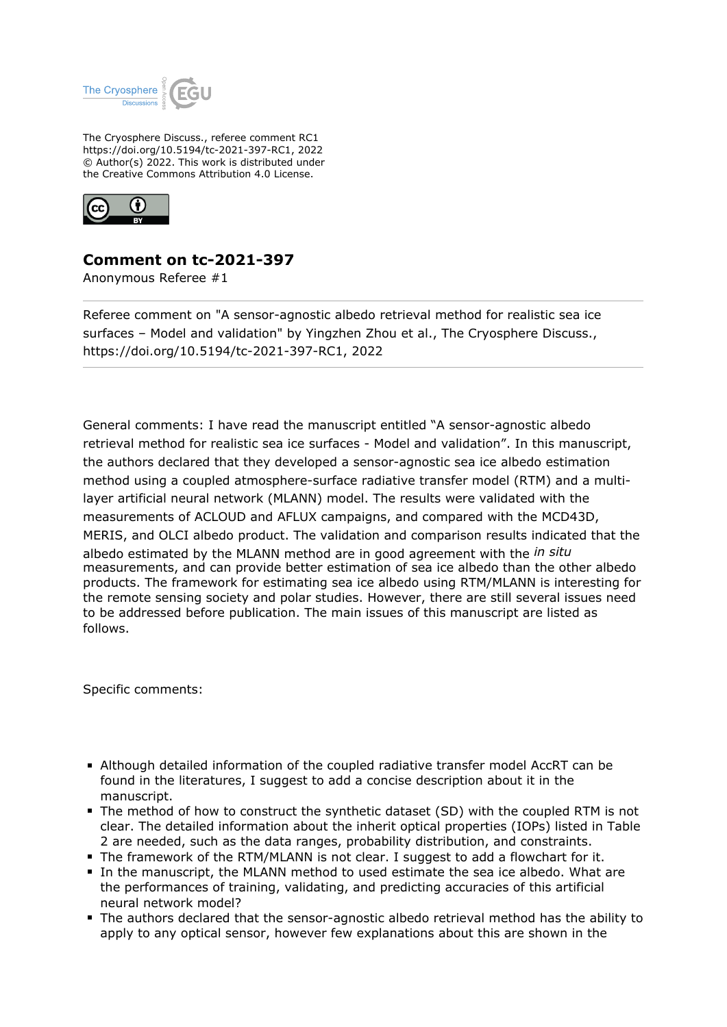

The Cryosphere Discuss., referee comment RC1 https://doi.org/10.5194/tc-2021-397-RC1, 2022 © Author(s) 2022. This work is distributed under the Creative Commons Attribution 4.0 License.



## **Comment on tc-2021-397**

Anonymous Referee #1

Referee comment on "A sensor-agnostic albedo retrieval method for realistic sea ice surfaces – Model and validation" by Yingzhen Zhou et al., The Cryosphere Discuss., https://doi.org/10.5194/tc-2021-397-RC1, 2022

General comments: I have read the manuscript entitled "A sensor-agnostic albedo retrieval method for realistic sea ice surfaces - Model and validation". In this manuscript, the authors declared that they developed a sensor-agnostic sea ice albedo estimation method using a coupled atmosphere-surface radiative transfer model (RTM) and a multilayer artificial neural network (MLANN) model. The results were validated with the measurements of ACLOUD and AFLUX campaigns, and compared with the MCD43D, MERIS, and OLCI albedo product. The validation and comparison results indicated that the albedo estimated by the MLANN method are in good agreement with the *in situ* measurements, and can provide better estimation of sea ice albedo than the other albedo products. The framework for estimating sea ice albedo using RTM/MLANN is interesting for the remote sensing society and polar studies. However, there are still several issues need to be addressed before publication. The main issues of this manuscript are listed as follows.

Specific comments:

- Although detailed information of the coupled radiative transfer model AccRT can be found in the literatures, I suggest to add a concise description about it in the manuscript.
- The method of how to construct the synthetic dataset (SD) with the coupled RTM is not clear. The detailed information about the inherit optical properties (IOPs) listed in Table 2 are needed, such as the data ranges, probability distribution, and constraints.
- The framework of the RTM/MLANN is not clear. I suggest to add a flowchart for it.
- In the manuscript, the MLANN method to used estimate the sea ice albedo. What are the performances of training, validating, and predicting accuracies of this artificial neural network model?
- The authors declared that the sensor-agnostic albedo retrieval method has the ability to apply to any optical sensor, however few explanations about this are shown in the